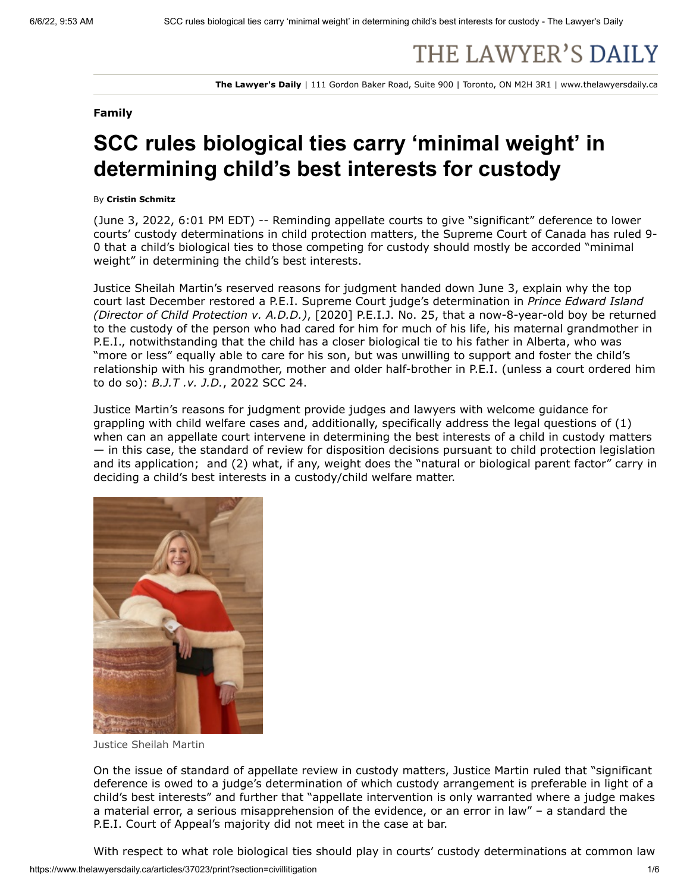# THE LAWYER'S DAILY

**The Lawyer's Daily** | 111 Gordon Baker Road, Suite 900 | Toronto, ON M2H 3R1 | www.thelawyersdaily.ca

### **Family**

# **SCC rules biological ties carry 'minimal weight' in determining child's best interests for custody**

#### By **Cristin Schmitz**

(June 3, 2022, 6:01 PM EDT) -- Reminding appellate courts to give "significant" deference to lower courts' custody determinations in child protection matters, the Supreme Court of Canada has ruled 9- 0 that a child's biological ties to those competing for custody should mostly be accorded "minimal weight" in determining the child's best interests.

Justice Sheilah Martin's reserved reasons for judgment handed down June 3, explain why the top court last December restored a P.E.I. Supreme Court judge's determination in *Prince Edward Island (Director of Child Protection v. A.D.D.)*, [2020] P.E.I.J. No. 25, that a now-8-year-old boy be returned to the custody of the person who had cared for him for much of his life, his maternal grandmother in P.E.I., notwithstanding that the child has a closer biological tie to his father in Alberta, who was "more or less" equally able to care for his son, but was unwilling to support and foster the child's relationship with his grandmother, mother and older half-brother in P.E.I. (unless a court ordered him to do so): *B.J.T .v. J.D.*, 2022 SCC 24.

Justice Martin's reasons for judgment provide judges and lawyers with welcome guidance for grappling with child welfare cases and, additionally, specifically address the legal questions of (1) when can an appellate court intervene in determining the best interests of a child in custody matters — in this case, the standard of review for disposition decisions pursuant to child protection legislation and its application; and (2) what, if any, weight does the "natural or biological parent factor" carry in deciding a child's best interests in a custody/child welfare matter.



Justice Sheilah Martin

On the issue of standard of appellate review in custody matters, Justice Martin ruled that "significant deference is owed to a judge's determination of which custody arrangement is preferable in light of a child's best interests" and further that "appellate intervention is only warranted where a judge makes a material error, a serious misapprehension of the evidence, or an error in law" – a standard the P.E.I. Court of Appeal's majority did not meet in the case at bar.

With respect to what role biological ties should play in courts' custody determinations at common law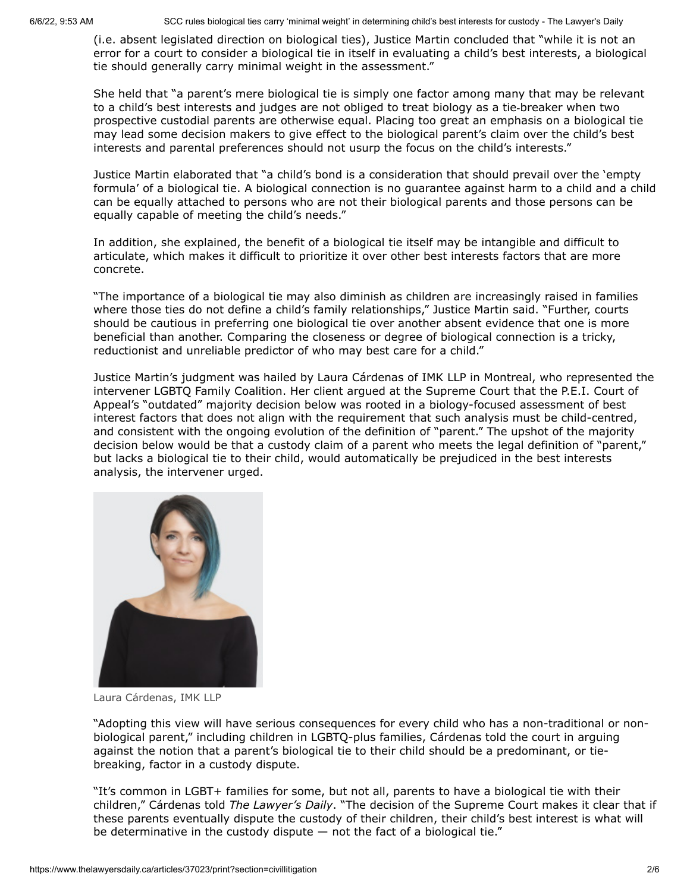(i.e. absent legislated direction on biological ties), Justice Martin concluded that "while it is not an error for a court to consider a biological tie in itself in evaluating a child's best interests, a biological tie should generally carry minimal weight in the assessment."

She held that "a parent's mere biological tie is simply one factor among many that may be relevant to a child's best interests and judges are not obliged to treat biology as a tie-breaker when two prospective custodial parents are otherwise equal. Placing too great an emphasis on a biological tie may lead some decision makers to give effect to the biological parent's claim over the child's best interests and parental preferences should not usurp the focus on the child's interests."

Justice Martin elaborated that "a child's bond is a consideration that should prevail over the 'empty formula' of a biological tie. A biological connection is no guarantee against harm to a child and a child can be equally attached to persons who are not their biological parents and those persons can be equally capable of meeting the child's needs."

In addition, she explained, the benefit of a biological tie itself may be intangible and difficult to articulate, which makes it difficult to prioritize it over other best interests factors that are more concrete.

"The importance of a biological tie may also diminish as children are increasingly raised in families where those ties do not define a child's family relationships," Justice Martin said. "Further, courts should be cautious in preferring one biological tie over another absent evidence that one is more beneficial than another. Comparing the closeness or degree of biological connection is a tricky, reductionist and unreliable predictor of who may best care for a child."

Justice Martin's judgment was hailed by Laura Cárdenas of IMK LLP in Montreal, who represented the intervener LGBTQ Family Coalition. Her client argued at the Supreme Court that the P.E.I. Court of Appeal's "outdated" majority decision below was rooted in a biology-focused assessment of best interest factors that does not align with the requirement that such analysis must be child-centred, and consistent with the ongoing evolution of the definition of "parent." The upshot of the majority decision below would be that a custody claim of a parent who meets the legal definition of "parent," but lacks a biological tie to their child, would automatically be prejudiced in the best interests analysis, the intervener urged.



Laura Cárdenas, IMK LLP

"Adopting this view will have serious consequences for every child who has a non-traditional or nonbiological parent," including children in LGBTQ-plus families, Cárdenas told the court in arguing against the notion that a parent's biological tie to their child should be a predominant, or tiebreaking, factor in a custody dispute.

"It's common in LGBT+ families for some, but not all, parents to have a biological tie with their children," Cárdenas told *The Lawyer's Daily*. "The decision of the Supreme Court makes it clear that if these parents eventually dispute the custody of their children, their child's best interest is what will be determinative in the custody dispute  $-$  not the fact of a biological tie."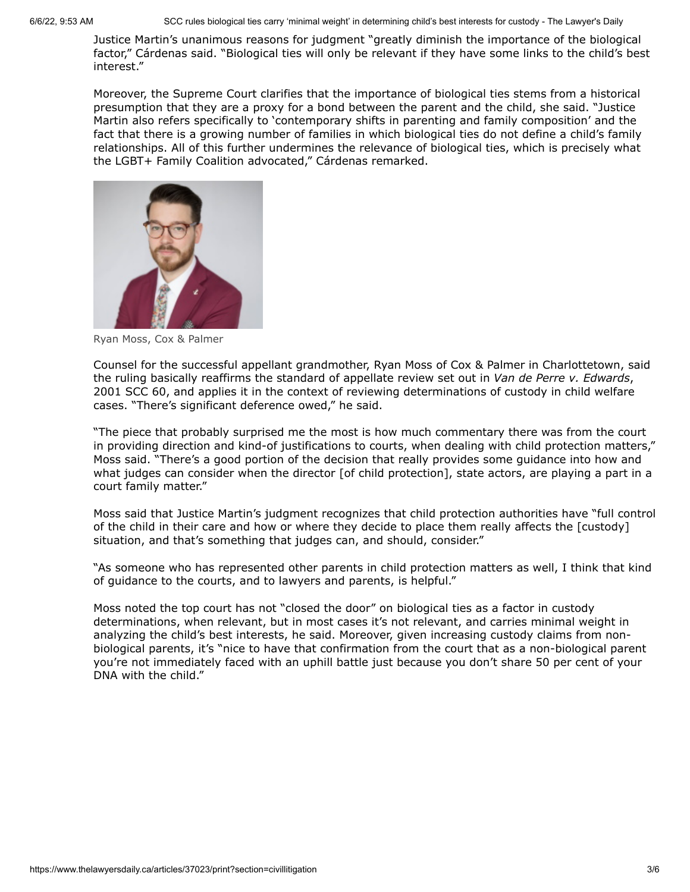Justice Martin's unanimous reasons for judgment "greatly diminish the importance of the biological factor," Cárdenas said. "Biological ties will only be relevant if they have some links to the child's best interest."

Moreover, the Supreme Court clarifies that the importance of biological ties stems from a historical presumption that they are a proxy for a bond between the parent and the child, she said. "Justice Martin also refers specifically to 'contemporary shifts in parenting and family composition' and the fact that there is a growing number of families in which biological ties do not define a child's family relationships. All of this further undermines the relevance of biological ties, which is precisely what the LGBT+ Family Coalition advocated," Cárdenas remarked.



Ryan Moss, Cox & Palmer

Counsel for the successful appellant grandmother, Ryan Moss of Cox & Palmer in Charlottetown, said the ruling basically reaffirms the standard of appellate review set out in *Van de Perre v. Edwards*, 2001 SCC 60, and applies it in the context of reviewing determinations of custody in child welfare cases. "There's significant deference owed," he said.

"The piece that probably surprised me the most is how much commentary there was from the court in providing direction and kind-of justifications to courts, when dealing with child protection matters," Moss said. "There's a good portion of the decision that really provides some guidance into how and what judges can consider when the director [of child protection], state actors, are playing a part in a court family matter."

Moss said that Justice Martin's judgment recognizes that child protection authorities have "full control of the child in their care and how or where they decide to place them really affects the [custody] situation, and that's something that judges can, and should, consider."

"As someone who has represented other parents in child protection matters as well, I think that kind of guidance to the courts, and to lawyers and parents, is helpful."

Moss noted the top court has not "closed the door" on biological ties as a factor in custody determinations, when relevant, but in most cases it's not relevant, and carries minimal weight in analyzing the child's best interests, he said. Moreover, given increasing custody claims from nonbiological parents, it's "nice to have that confirmation from the court that as a non-biological parent you're not immediately faced with an uphill battle just because you don't share 50 per cent of your DNA with the child."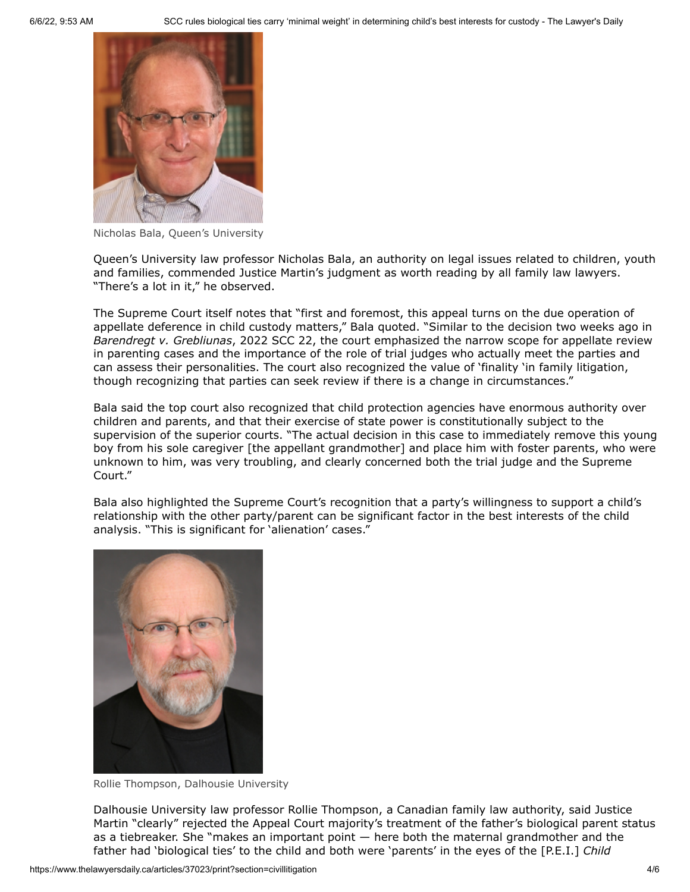

Nicholas Bala, Queen's University

Queen's University law professor Nicholas Bala, an authority on legal issues related to children, youth and families, commended Justice Martin's judgment as worth reading by all family law lawyers. "There's a lot in it," he observed.

The Supreme Court itself notes that "first and foremost, this appeal turns on the due operation of appellate deference in child custody matters," Bala quoted. "Similar to the decision two weeks ago in *Barendregt v. Grebliunas*, 2022 SCC 22, the court emphasized the narrow scope for appellate review in parenting cases and the importance of the role of trial judges who actually meet the parties and can assess their personalities. The court [also recognized the value of 'finality 'in family litigation,](https://www.thelawyersdaily.ca/articles/36466/appeal-court-applied-wrong-test-in-admitting-new-evidence-in-child-relocation-case-scc-rules) though recognizing that parties can seek review if there is a change in circumstances."

Bala said the top court also recognized that child protection agencies have enormous authority over children and parents, and that their exercise of state power is constitutionally subject to the supervision of the superior courts. "The actual decision in this case to immediately remove this young boy from his sole caregiver [the appellant grandmother] and place him with foster parents, who were unknown to him, was very troubling, and clearly concerned both the trial judge and the Supreme Court."

Bala also highlighted the Supreme Court's recognition that a party's willingness to support a child's relationship with the other party/parent can be significant factor in the best interests of the child analysis. "This is significant for 'alienation' cases."



Rollie Thompson, Dalhousie University

Dalhousie University law professor Rollie Thompson, a Canadian family law authority, said Justice Martin "clearly" rejected the Appeal Court majority's treatment of the father's biological parent status as a tiebreaker. She "makes an important point — here both the maternal grandmother and the father had 'biological ties' to the child and both were 'parents' in the eyes of the [P.E.I.] *Child*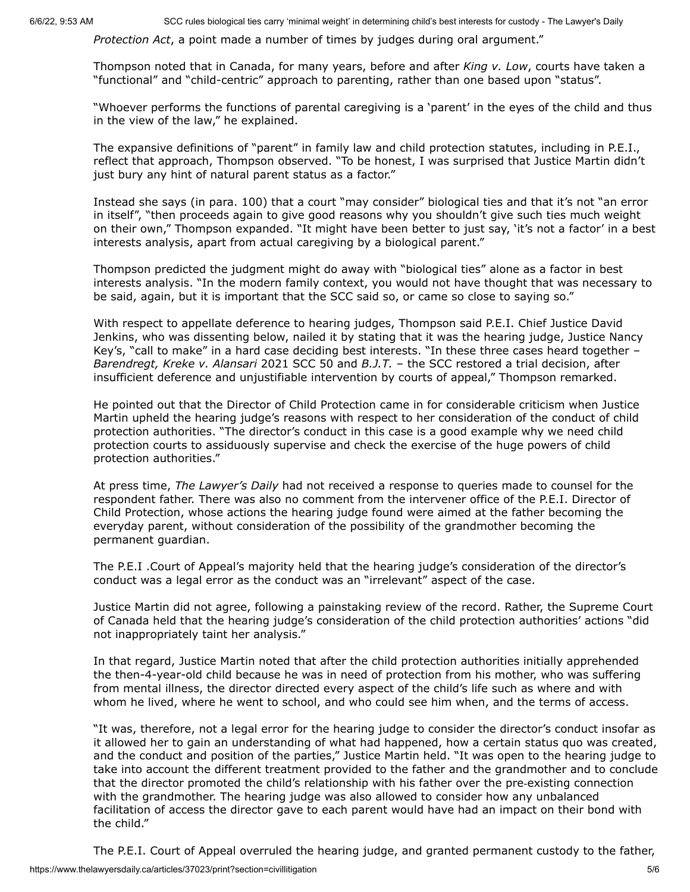*Protection Act*, a point made a number of times by judges during oral argument."

Thompson noted that in Canada, for many years, before and after *King v. Low*, courts have taken a "functional" and "child-centric" approach to parenting, rather than one based upon "status".

"Whoever performs the functions of parental caregiving is a 'parent' in the eyes of the child and thus in the view of the law," he explained.

The expansive definitions of "parent" in family law and child protection statutes, including in P.E.I., reflect that approach, Thompson observed. "To be honest, I was surprised that Justice Martin didn't just bury any hint of natural parent status as a factor."

Instead she says (in para. 100) that a court "may consider" biological ties and that it's not "an error in itself", "then proceeds again to give good reasons why you shouldn't give such ties much weight on their own," Thompson expanded. "It might have been better to just say, 'it's not a factor' in a best interests analysis, apart from actual caregiving by a biological parent."

Thompson predicted the judgment might do away with "biological ties" alone as a factor in best interests analysis. "In the modern family context, you would not have thought that was necessary to be said, again, but it is important that the SCC said so, or came so close to saying so."

With respect to appellate deference to hearing judges, Thompson said P.E.I. Chief Justice David Jenkins, who was dissenting below, nailed it by stating that it was the hearing judge, Justice Nancy Key's, "call to make" in a hard case deciding best interests. "In these three cases heard together – *Barendregt, Kreke v. Alansari* 2021 SCC 50 and *B.J.T.* – the SCC restored a trial decision, after insufficient deference and unjustifiable intervention by courts of appeal," Thompson remarked.

He pointed out that the Director of Child Protection came in for considerable criticism when Justice Martin upheld the hearing judge's reasons with respect to her consideration of the conduct of child protection authorities. "The director's conduct in this case is a good example why we need child protection courts to assiduously supervise and check the exercise of the huge powers of child protection authorities."

At press time, *The Lawyer's Daily* had not received a response to queries made to counsel for the respondent father. There was also no comment from the intervener office of the P.E.I. Director of Child Protection, whose actions the hearing judge found were aimed at the father becoming the everyday parent, without consideration of the possibility of the grandmother becoming the permanent guardian.

The P.E.I .Court of Appeal's majority held that the hearing judge's consideration of the director's conduct was a legal error as the conduct was an "irrelevant" aspect of the case.

Justice Martin did not agree, following a painstaking review of the record. Rather, the Supreme Court of Canada held that the hearing judge's consideration of the child protection authorities' actions "did not inappropriately taint her analysis."

In that regard, Justice Martin noted that after the child protection authorities initially apprehended the then-4-year-old child because he was in need of protection from his mother, who was suffering from mental illness, the director directed every aspect of the child's life such as where and with whom he lived, where he went to school, and who could see him when, and the terms of access.

"It was, therefore, not a legal error for the hearing judge to consider the director's conduct insofar as it allowed her to gain an understanding of what had happened, how a certain status quo was created, and the conduct and position of the parties," Justice Martin held. "It was open to the hearing judge to take into account the different treatment provided to the father and the grandmother and to conclude that the director promoted the child's relationship with his father over the pre‑existing connection with the grandmother. The hearing judge was also allowed to consider how any unbalanced facilitation of access the director gave to each parent would have had an impact on their bond with the child."

The P.E.I. Court of Appeal overruled the hearing judge, and granted permanent custody to the father,